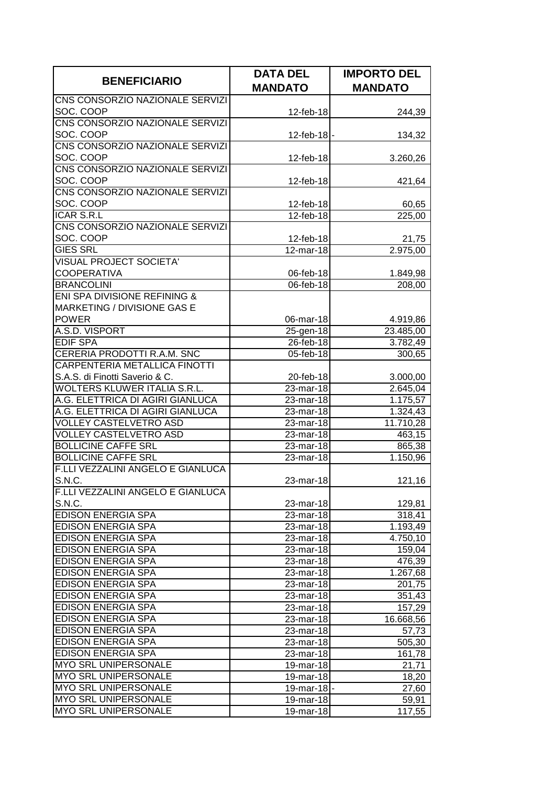| <b>BENEFICIARIO</b>                                          | <b>DATA DEL</b>            | <b>IMPORTO DEL</b>                |
|--------------------------------------------------------------|----------------------------|-----------------------------------|
|                                                              | <b>MANDATO</b>             | <b>MANDATO</b>                    |
| CNS CONSORZIO NAZIONALE SERVIZI                              |                            |                                   |
| SOC. COOP                                                    | 12-feb-18                  | 244,39                            |
| CNS CONSORZIO NAZIONALE SERVIZI                              |                            |                                   |
| SOC. COOP                                                    | $12$ -feb-18 $\vert \cdot$ | 134,32                            |
| CNS CONSORZIO NAZIONALE SERVIZI                              |                            |                                   |
| SOC. COOP                                                    | 12-feb-18                  | 3.260,26                          |
| CNS CONSORZIO NAZIONALE SERVIZI                              |                            |                                   |
| SOC. COOP                                                    | 12-feb-18                  | 421,64                            |
| CNS CONSORZIO NAZIONALE SERVIZI                              |                            |                                   |
| SOC. COOP                                                    | 12-feb-18                  | 60,65                             |
| <b>ICAR S.R.L</b>                                            | 12-feb-18                  | 225,00                            |
| CNS CONSORZIO NAZIONALE SERVIZI                              |                            |                                   |
| SOC. COOP                                                    | 12-feb-18                  | 21,75                             |
| <b>GIES SRL</b>                                              | 12-mar-18                  | 2.975,00                          |
| <b>VISUAL PROJECT SOCIETA'</b>                               |                            |                                   |
| <b>COOPERATIVA</b>                                           | 06-feb-18                  | 1.849,98                          |
| <b>BRANCOLINI</b>                                            | 06-feb-18                  | 208,00                            |
| ENI SPA DIVISIONE REFINING &                                 |                            |                                   |
| MARKETING / DIVISIONE GAS E                                  |                            |                                   |
| <b>POWER</b>                                                 | 06-mar-18                  | 4.919,86                          |
| A.S.D. VISPORT                                               | 25-gen-18                  | 23.485,00                         |
| <b>EDIF SPA</b>                                              | 26-feb-18                  | 3.782,49                          |
| CERERIA PRODOTTI R.A.M. SNC<br>CARPENTERIA METALLICA FINOTTI | 05-feb-18                  | 300,65                            |
| S.A.S. di Finotti Saverio & C.                               |                            |                                   |
| <b>WOLTERS KLUWER ITALIA S.R.L.</b>                          | 20-feb-18<br>23-mar-18     | 3.000,00                          |
| A.G. ELETTRICA DI AGIRI GIANLUCA                             | 23-mar-18                  | 2.645,04<br>$\overline{1.175,57}$ |
| A.G. ELETTRICA DI AGIRI GIANLUCA                             | 23-mar-18                  | 1.324,43                          |
| <b>VOLLEY CASTELVETRO ASD</b>                                | 23-mar-18                  | 11.710,28                         |
| <b>VOLLEY CASTELVETRO ASD</b>                                | 23-mar-18                  | 463,15                            |
| <b>BOLLICINE CAFFE SRL</b>                                   | 23-mar-18                  | 865,38                            |
| <b>BOLLICINE CAFFE SRL</b>                                   | 23-mar-18                  | 1.150,96                          |
| F.LLI VEZZALINI ANGELO E GIANLUCA                            |                            |                                   |
| S.N.C.                                                       | 23-mar-18                  | 121,16                            |
| F.LLI VEZZALINI ANGELO E GIANLUCA                            |                            |                                   |
| S.N.C.                                                       | 23-mar-18                  | 129,81                            |
| <b>EDISON ENERGIA SPA</b>                                    | 23-mar-18                  | 318,41                            |
| EDISON ENERGIA SPA                                           | 23-mar-18                  | 1.193,49                          |
| <b>EDISON ENERGIA SPA</b>                                    | 23-mar-18                  | 4.750,10                          |
| EDISON ENERGIA SPA                                           | 23-mar-18                  | 159,04                            |
| <b>EDISON ENERGIA SPA</b>                                    | 23-mar-18                  | 476,39                            |
| <b>EDISON ENERGIA SPA</b>                                    | 23-mar-18                  | 1.267,68                          |
| <b>EDISON ENERGIA SPA</b>                                    | 23-mar-18                  | 201,75                            |
| EDISON ENERGIA SPA                                           | 23-mar-18                  | 351,43                            |
| <b>EDISON ENERGIA SPA</b>                                    | 23-mar-18                  | 157,29                            |
| EDISON ENERGIA SPA                                           | 23-mar-18                  | 16.668,56                         |
| <b>EDISON ENERGIA SPA</b>                                    | 23-mar-18                  | 57,73                             |
| <b>EDISON ENERGIA SPA</b>                                    | 23-mar-18                  | 505,30                            |
| <b>EDISON ENERGIA SPA</b>                                    | 23-mar-18                  | 161,78                            |
| MYO SRL UNIPERSONALE                                         | 19-mar-18                  | 21,71                             |
| MYO SRL UNIPERSONALE                                         | 19-mar-18                  | 18,20                             |
| MYO SRL UNIPERSONALE                                         | 19-mar-18-                 | 27,60                             |
| MYO SRL UNIPERSONALE                                         | 19-mar-18                  | 59,91                             |
| MYO SRL UNIPERSONALE                                         | 19-mar-18                  | 117,55                            |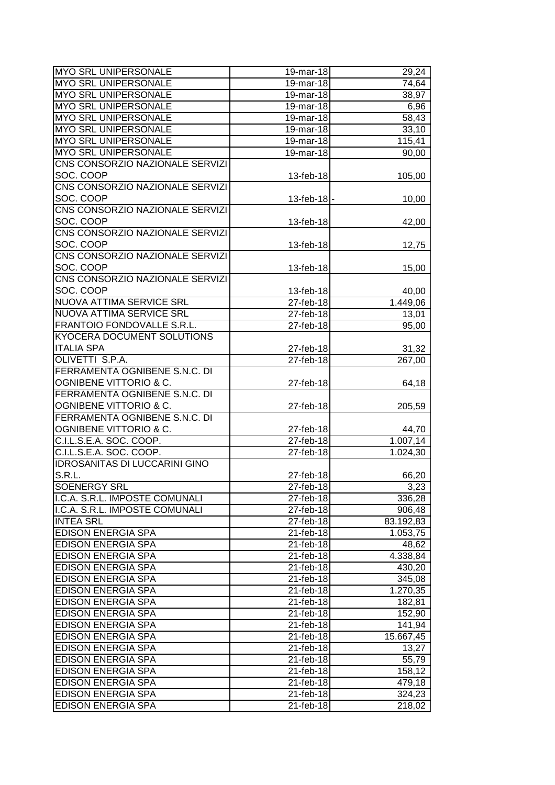| <b>MYO SRL UNIPERSONALE</b>          | 19-mar-18    | 29,24     |
|--------------------------------------|--------------|-----------|
| MYO SRL UNIPERSONALE                 | 19-mar-18    | 74,64     |
| MYO SRL UNIPERSONALE                 | 19-mar-18    | 38,97     |
| MYO SRL UNIPERSONALE                 | 19-mar-18    | 6,96      |
| MYO SRL UNIPERSONALE                 | 19-mar-18    | 58,43     |
| MYO SRL UNIPERSONALE                 | 19-mar-18    | 33,10     |
| <b>MYO SRL UNIPERSONALE</b>          | $19$ -mar-18 | 115,41    |
| MYO SRL UNIPERSONALE                 | 19-mar-18    | 90,00     |
| CNS CONSORZIO NAZIONALE SERVIZI      |              |           |
| SOC. COOP                            | 13-feb-18    | 105,00    |
| CNS CONSORZIO NAZIONALE SERVIZI      |              |           |
| SOC. COOP                            | 13-feb-18    | 10,00     |
| CNS CONSORZIO NAZIONALE SERVIZI      |              |           |
| SOC. COOP                            | 13-feb-18    | 42,00     |
| CNS CONSORZIO NAZIONALE SERVIZI      |              |           |
| SOC. COOP                            | 13-feb-18    |           |
| CNS CONSORZIO NAZIONALE SERVIZI      |              | 12,75     |
| SOC. COOP                            |              |           |
|                                      | 13-feb-18    | 15,00     |
| CNS CONSORZIO NAZIONALE SERVIZI      |              |           |
| SOC. COOP                            | 13-feb-18    | 40,00     |
| NUOVA ATTIMA SERVICE SRL             | 27-feb-18    | 1.449,06  |
| NUOVA ATTIMA SERVICE SRL             | 27-feb-18    | 13,01     |
| FRANTOIO FONDOVALLE S.R.L.           | 27-feb-18    | 95,00     |
| KYOCERA DOCUMENT SOLUTIONS           |              |           |
| <b>ITALIA SPA</b>                    | 27-feb-18    | 31,32     |
| OLIVETTI S.P.A.                      | 27-feb-18    | 267,00    |
| FERRAMENTA OGNIBENE S.N.C. DI        |              |           |
| OGNIBENE VITTORIO & C.               | 27-feb-18    | 64,18     |
| FERRAMENTA OGNIBENE S.N.C. DI        |              |           |
| <b>OGNIBENE VITTORIO &amp; C.</b>    | 27-feb-18    | 205,59    |
| FERRAMENTA OGNIBENE S.N.C. DI        |              |           |
| <b>OGNIBENE VITTORIO &amp; C.</b>    | 27-feb-18    | 44,70     |
| C.I.L.S.E.A. SOC. COOP.              | 27-feb-18    | 1.007, 14 |
| C.I.L.S.E.A. SOC. COOP.              | 27-feb-18    | 1.024,30  |
| <b>IDROSANITAS DI LUCCARINI GINO</b> |              |           |
| S.R.L.                               | 27-feb-18    | 66,20     |
| <b>SOENERGY SRL</b>                  | 27-feb-18    | 3,23      |
| I.C.A. S.R.L. IMPOSTE COMUNALI       | 27-feb-18    | 336,28    |
| I.C.A. S.R.L. IMPOSTE COMUNALI       | 27-feb-18    | 906,48    |
| <b>INTEA SRL</b>                     | 27-feb-18    | 83.192,83 |
| <b>EDISON ENERGIA SPA</b>            | 21-feb-18    | 1.053,75  |
| <b>EDISON ENERGIA SPA</b>            | 21-feb-18    | 48,62     |
| <b>EDISON ENERGIA SPA</b>            | 21-feb-18    | 4.338,84  |
| <b>EDISON ENERGIA SPA</b>            | 21-feb-18    | 430,20    |
| <b>EDISON ENERGIA SPA</b>            | 21-feb-18    | 345,08    |
| <b>EDISON ENERGIA SPA</b>            | 21-feb-18    | 1.270,35  |
| <b>EDISON ENERGIA SPA</b>            | 21-feb-18    | 182,81    |
| <b>EDISON ENERGIA SPA</b>            | 21-feb-18    | 152,90    |
| <b>EDISON ENERGIA SPA</b>            | 21-feb-18    | 141,94    |
| <b>EDISON ENERGIA SPA</b>            | 21-feb-18    | 15.667,45 |
| <b>EDISON ENERGIA SPA</b>            | 21-feb-18    | 13,27     |
| <b>EDISON ENERGIA SPA</b>            | 21-feb-18    | 55,79     |
| <b>EDISON ENERGIA SPA</b>            | 21-feb-18    | 158,12    |
| <b>EDISON ENERGIA SPA</b>            | 21-feb-18    | 479,18    |
| <b>EDISON ENERGIA SPA</b>            | 21-feb-18    | 324,23    |
| EDISON ENERGIA SPA                   | 21-feb-18    | 218,02    |
|                                      |              |           |